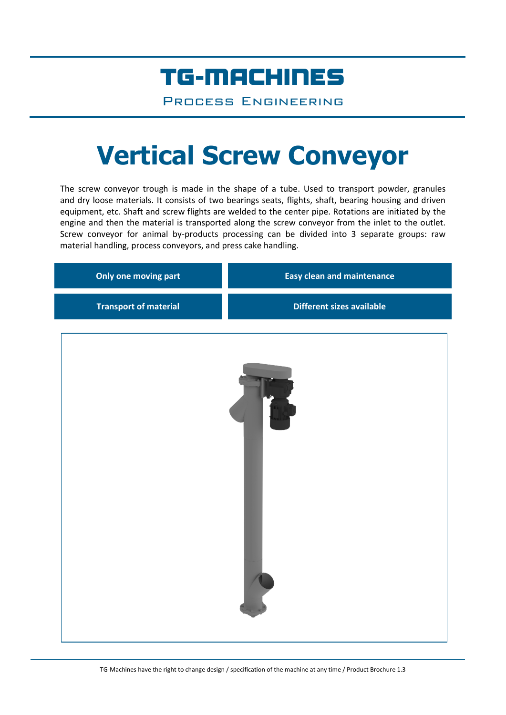## TG-MACHINES

Process Engineering

# **Vertical Screw Conveyor**

The screw conveyor trough is made in the shape of a tube. Used to transport powder, granules and dry loose materials. It consists of two bearings seats, flights, shaft, bearing housing and driven equipment, etc. Shaft and screw flights are welded to the center pipe. Rotations are initiated by the engine and then the material is transported along the screw conveyor from the inlet to the outlet. Screw conveyor for animal by-products processing can be divided into 3 separate groups: raw material handling, process conveyors, and press cake handling.

| Only one moving part         | <b>Easy clean and maintenance</b> |  |  |  |
|------------------------------|-----------------------------------|--|--|--|
| <b>Transport of material</b> | <b>Different sizes available</b>  |  |  |  |
|                              |                                   |  |  |  |